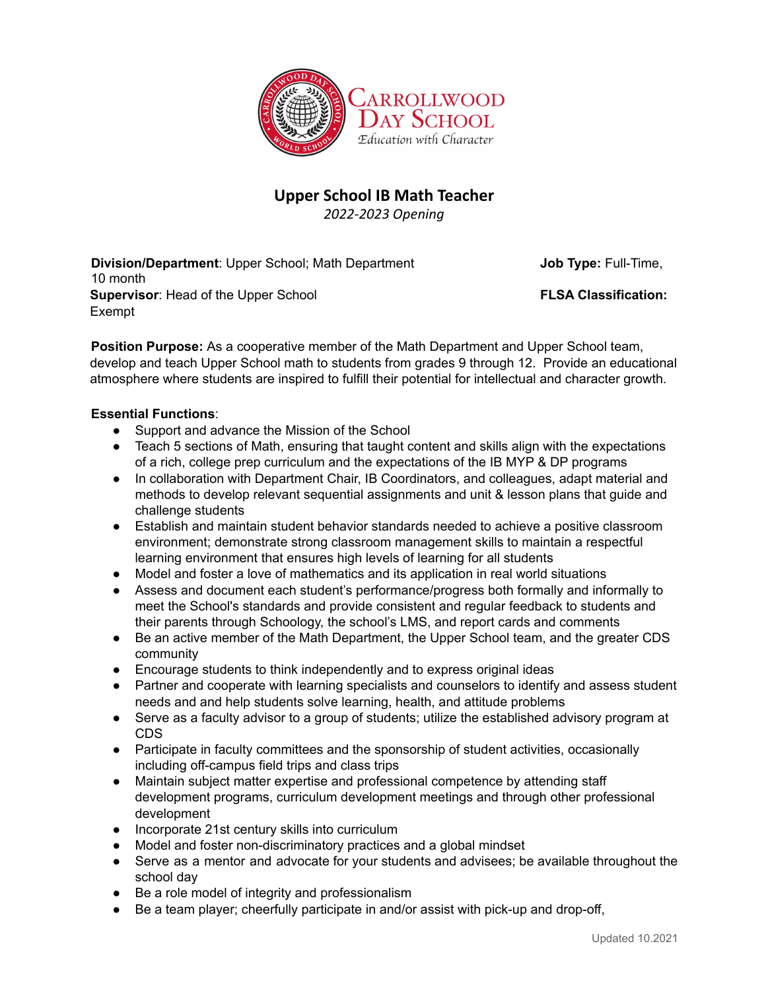

## **Upper School IB Math Teacher**

*2022-2023 Opening*

**Division/Department:** Upper School; Math Department **Job Type:** Full-Time, 10 month **Supervisor**: Head of the Upper School **FLSA Classification:** Exempt

**Position Purpose:** As a cooperative member of the Math Department and Upper School team, develop and teach Upper School math to students from grades 9 through 12. Provide an educational atmosphere where students are inspired to fulfill their potential for intellectual and character growth.

## **Essential Functions**:

- Support and advance the Mission of the School
- Teach 5 sections of Math, ensuring that taught content and skills align with the expectations of a rich, college prep curriculum and the expectations of the IB MYP & DP programs
- In collaboration with Department Chair, IB Coordinators, and colleagues, adapt material and methods to develop relevant sequential assignments and unit & lesson plans that guide and challenge students
- Establish and maintain student behavior standards needed to achieve a positive classroom environment; demonstrate strong classroom management skills to maintain a respectful learning environment that ensures high levels of learning for all students
- Model and foster a love of mathematics and its application in real world situations
- Assess and document each student's performance/progress both formally and informally to meet the School's standards and provide consistent and regular feedback to students and their parents through Schoology, the school's LMS, and report cards and comments
- Be an active member of the Math Department, the Upper School team, and the greater CDS community
- Encourage students to think independently and to express original ideas
- Partner and cooperate with learning specialists and counselors to identify and assess student needs and and help students solve learning, health, and attitude problems
- Serve as a faculty advisor to a group of students; utilize the established advisory program at CDS
- Participate in faculty committees and the sponsorship of student activities, occasionally including off-campus field trips and class trips
- Maintain subject matter expertise and professional competence by attending staff development programs, curriculum development meetings and through other professional development
- Incorporate 21st century skills into curriculum
- Model and foster non-discriminatory practices and a global mindset
- Serve as a mentor and advocate for your students and advisees; be available throughout the school day
- Be a role model of integrity and professionalism
- Be a team player; cheerfully participate in and/or assist with pick-up and drop-off,